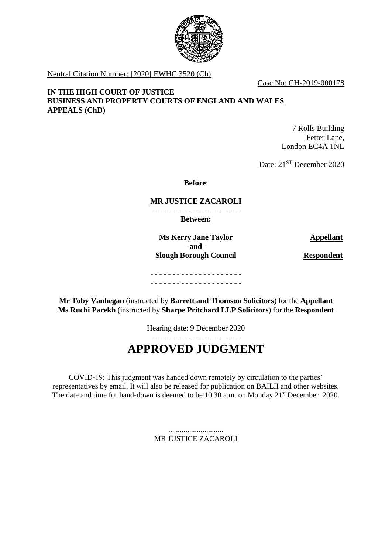

Neutral Citation Number: [2020] EWHC 3520 (Ch)

Case No: CH-2019-000178

# **IN THE HIGH COURT OF JUSTICE BUSINESS AND PROPERTY COURTS OF ENGLAND AND WALES APPEALS (ChD)**

7 Rolls Building Fetter Lane, London EC4A 1NL

Date: 21<sup>ST</sup> December 2020

**Before**:

# **MR JUSTICE ZACAROLI**

- - - - - - - - - - - - - - - - - - - - -

**Between:**

**Ms Kerry Jane Taylor Appellant - and - Slough Borough Council Respondent** 

- - - - - - - - - - - - - - - - - - - - -

**Mr Toby Vanhegan** (instructed by **Barrett and Thomson Solicitors**) for the **Appellant Ms Ruchi Parekh** (instructed by **Sharpe Pritchard LLP Solicitors**) for the **Respondent**

- - - - - - - - - - - - - - - - - - - - -

Hearing date: 9 December 2020

# **APPROVED JUDGMENT**

COVID-19: This judgment was handed down remotely by circulation to the parties' representatives by email. It will also be released for publication on BAILII and other websites. The date and time for hand-down is deemed to be 10.30 a.m. on Monday 21<sup>st</sup> December 2020.

> ............................. MR JUSTICE ZACAROLI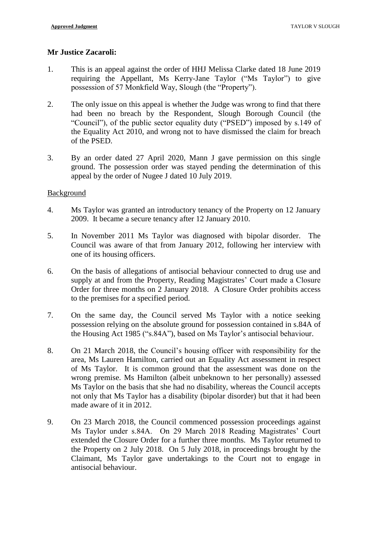# **Mr Justice Zacaroli:**

- 1. This is an appeal against the order of HHJ Melissa Clarke dated 18 June 2019 requiring the Appellant, Ms Kerry-Jane Taylor ("Ms Taylor") to give possession of 57 Monkfield Way, Slough (the "Property").
- 2. The only issue on this appeal is whether the Judge was wrong to find that there had been no breach by the Respondent, Slough Borough Council (the "Council"), of the public sector equality duty ("PSED") imposed by s.149 of the Equality Act 2010, and wrong not to have dismissed the claim for breach of the PSED.
- 3. By an order dated 27 April 2020, Mann J gave permission on this single ground. The possession order was stayed pending the determination of this appeal by the order of Nugee J dated 10 July 2019.

#### Background

- 4. Ms Taylor was granted an introductory tenancy of the Property on 12 January 2009. It became a secure tenancy after 12 January 2010.
- 5. In November 2011 Ms Taylor was diagnosed with bipolar disorder. The Council was aware of that from January 2012, following her interview with one of its housing officers.
- 6. On the basis of allegations of antisocial behaviour connected to drug use and supply at and from the Property, Reading Magistrates' Court made a Closure Order for three months on 2 January 2018. A Closure Order prohibits access to the premises for a specified period.
- 7. On the same day, the Council served Ms Taylor with a notice seeking possession relying on the absolute ground for possession contained in s.84A of the Housing Act 1985 ("s.84A"), based on Ms Taylor's antisocial behaviour.
- 8. On 21 March 2018, the Council's housing officer with responsibility for the area, Ms Lauren Hamilton, carried out an Equality Act assessment in respect of Ms Taylor. It is common ground that the assessment was done on the wrong premise. Ms Hamilton (albeit unbeknown to her personally) assessed Ms Taylor on the basis that she had no disability, whereas the Council accepts not only that Ms Taylor has a disability (bipolar disorder) but that it had been made aware of it in 2012.
- 9. On 23 March 2018, the Council commenced possession proceedings against Ms Taylor under s.84A. On 29 March 2018 Reading Magistrates' Court extended the Closure Order for a further three months. Ms Taylor returned to the Property on 2 July 2018. On 5 July 2018, in proceedings brought by the Claimant, Ms Taylor gave undertakings to the Court not to engage in antisocial behaviour.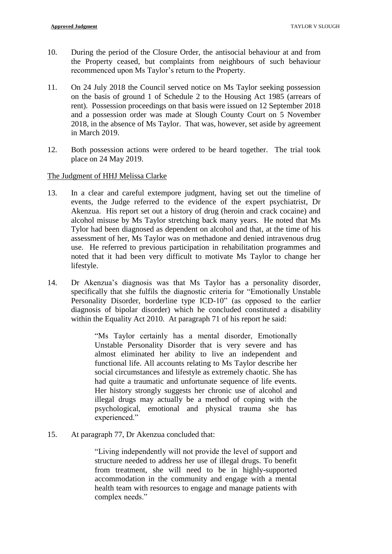- 10. During the period of the Closure Order, the antisocial behaviour at and from the Property ceased, but complaints from neighbours of such behaviour recommenced upon Ms Taylor's return to the Property.
- 11. On 24 July 2018 the Council served notice on Ms Taylor seeking possession on the basis of ground 1 of Schedule 2 to the Housing Act 1985 (arrears of rent). Possession proceedings on that basis were issued on 12 September 2018 and a possession order was made at Slough County Court on 5 November 2018, in the absence of Ms Taylor. That was, however, set aside by agreement in March 2019.
- 12. Both possession actions were ordered to be heard together. The trial took place on 24 May 2019.

#### The Judgment of HHJ Melissa Clarke

- 13. In a clear and careful extempore judgment, having set out the timeline of events, the Judge referred to the evidence of the expert psychiatrist, Dr Akenzua. His report set out a history of drug (heroin and crack cocaine) and alcohol misuse by Ms Taylor stretching back many years. He noted that Ms Tylor had been diagnosed as dependent on alcohol and that, at the time of his assessment of her, Ms Taylor was on methadone and denied intravenous drug use. He referred to previous participation in rehabilitation programmes and noted that it had been very difficult to motivate Ms Taylor to change her lifestyle.
- 14. Dr Akenzua's diagnosis was that Ms Taylor has a personality disorder, specifically that she fulfils the diagnostic criteria for "Emotionally Unstable Personality Disorder, borderline type ICD-10" (as opposed to the earlier diagnosis of bipolar disorder) which he concluded constituted a disability within the Equality Act 2010. At paragraph 71 of his report he said:

"Ms Taylor certainly has a mental disorder, Emotionally Unstable Personality Disorder that is very severe and has almost eliminated her ability to live an independent and functional life. All accounts relating to Ms Taylor describe her social circumstances and lifestyle as extremely chaotic. She has had quite a traumatic and unfortunate sequence of life events. Her history strongly suggests her chronic use of alcohol and illegal drugs may actually be a method of coping with the psychological, emotional and physical trauma she has experienced."

15. At paragraph 77, Dr Akenzua concluded that:

"Living independently will not provide the level of support and structure needed to address her use of illegal drugs. To benefit from treatment, she will need to be in highly-supported accommodation in the community and engage with a mental health team with resources to engage and manage patients with complex needs."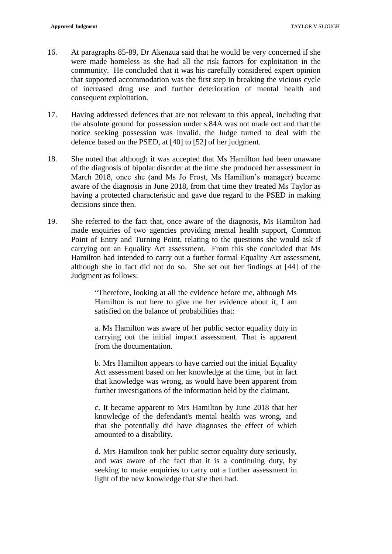- 16. At paragraphs 85-89, Dr Akenzua said that he would be very concerned if she were made homeless as she had all the risk factors for exploitation in the community. He concluded that it was his carefully considered expert opinion that supported accommodation was the first step in breaking the vicious cycle of increased drug use and further deterioration of mental health and consequent exploitation.
- 17. Having addressed defences that are not relevant to this appeal, including that the absolute ground for possession under s.84A was not made out and that the notice seeking possession was invalid, the Judge turned to deal with the defence based on the PSED, at [40] to [52] of her judgment.
- 18. She noted that although it was accepted that Ms Hamilton had been unaware of the diagnosis of bipolar disorder at the time she produced her assessment in March 2018, once she (and Ms Jo Frost, Ms Hamilton's manager) became aware of the diagnosis in June 2018, from that time they treated Ms Taylor as having a protected characteristic and gave due regard to the PSED in making decisions since then.
- 19. She referred to the fact that, once aware of the diagnosis, Ms Hamilton had made enquiries of two agencies providing mental health support, Common Point of Entry and Turning Point, relating to the questions she would ask if carrying out an Equality Act assessment. From this she concluded that Ms Hamilton had intended to carry out a further formal Equality Act assessment, although she in fact did not do so. She set out her findings at [44] of the Judgment as follows:

"Therefore, looking at all the evidence before me, although Ms Hamilton is not here to give me her evidence about it, I am satisfied on the balance of probabilities that:

a. Ms Hamilton was aware of her public sector equality duty in carrying out the initial impact assessment. That is apparent from the documentation.

b. Mrs Hamilton appears to have carried out the initial Equality Act assessment based on her knowledge at the time, but in fact that knowledge was wrong, as would have been apparent from further investigations of the information held by the claimant.

c. It became apparent to Mrs Hamilton by June 2018 that her knowledge of the defendant's mental health was wrong, and that she potentially did have diagnoses the effect of which amounted to a disability.

d. Mrs Hamilton took her public sector equality duty seriously, and was aware of the fact that it is a continuing duty, by seeking to make enquiries to carry out a further assessment in light of the new knowledge that she then had.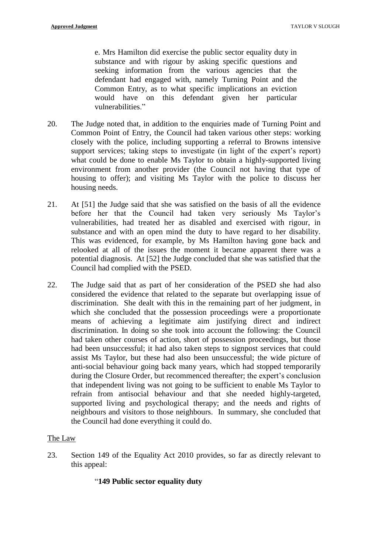e. Mrs Hamilton did exercise the public sector equality duty in substance and with rigour by asking specific questions and seeking information from the various agencies that the defendant had engaged with, namely Turning Point and the Common Entry, as to what specific implications an eviction would have on this defendant given her particular vulnerabilities."

- 20. The Judge noted that, in addition to the enquiries made of Turning Point and Common Point of Entry, the Council had taken various other steps: working closely with the police, including supporting a referral to Browns intensive support services; taking steps to investigate (in light of the expert's report) what could be done to enable Ms Taylor to obtain a highly-supported living environment from another provider (the Council not having that type of housing to offer); and visiting Ms Taylor with the police to discuss her housing needs.
- 21. At [51] the Judge said that she was satisfied on the basis of all the evidence before her that the Council had taken very seriously Ms Taylor's vulnerabilities, had treated her as disabled and exercised with rigour, in substance and with an open mind the duty to have regard to her disability. This was evidenced, for example, by Ms Hamilton having gone back and relooked at all of the issues the moment it became apparent there was a potential diagnosis. At [52] the Judge concluded that she was satisfied that the Council had complied with the PSED.
- 22. The Judge said that as part of her consideration of the PSED she had also considered the evidence that related to the separate but overlapping issue of discrimination. She dealt with this in the remaining part of her judgment, in which she concluded that the possession proceedings were a proportionate means of achieving a legitimate aim justifying direct and indirect discrimination. In doing so she took into account the following: the Council had taken other courses of action, short of possession proceedings, but those had been unsuccessful; it had also taken steps to signpost services that could assist Ms Taylor, but these had also been unsuccessful; the wide picture of anti-social behaviour going back many years, which had stopped temporarily during the Closure Order, but recommenced thereafter; the expert's conclusion that independent living was not going to be sufficient to enable Ms Taylor to refrain from antisocial behaviour and that she needed highly-targeted, supported living and psychological therapy; and the needs and rights of neighbours and visitors to those neighbours. In summary, she concluded that the Council had done everything it could do.

# The Law

23. Section 149 of the Equality Act 2010 provides, so far as directly relevant to this appeal:

# "**149 Public sector equality duty**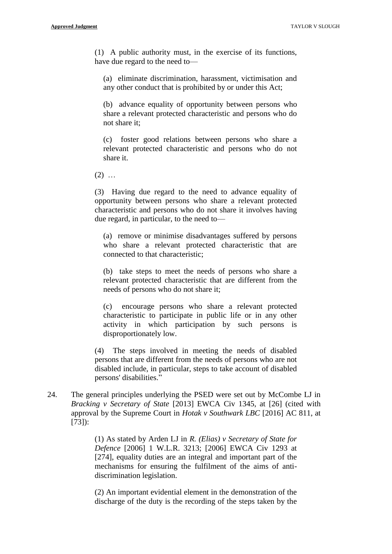(1) A public authority must, in the exercise of its functions, have due regard to the need to—

(a) eliminate discrimination, harassment, victimisation and any other conduct that is prohibited by or under this Act;

(b) advance equality of opportunity between persons who share a relevant protected characteristic and persons who do not share it;

(c) foster good relations between persons who share a relevant protected characteristic and persons who do not share it.

 $(2)$  ...

(3) Having due regard to the need to advance equality of opportunity between persons who share a relevant protected characteristic and persons who do not share it involves having due regard, in particular, to the need to—

(a) remove or minimise disadvantages suffered by persons who share a relevant protected characteristic that are connected to that characteristic;

(b) take steps to meet the needs of persons who share a relevant protected characteristic that are different from the needs of persons who do not share it;

(c) encourage persons who share a relevant protected characteristic to participate in public life or in any other activity in which participation by such persons is disproportionately low.

(4) The steps involved in meeting the needs of disabled persons that are different from the needs of persons who are not disabled include, in particular, steps to take account of disabled persons' disabilities."

24. The general principles underlying the PSED were set out by McCombe LJ in *Bracking v Secretary of State* [2013] EWCA Civ 1345, at [26] (cited with approval by the Supreme Court in *Hotak v Southwark LBC* [2016] AC 811, at [73]):

> (1) As stated by Arden LJ in *R. (Elias) v Secretary of State for Defence* [2006] 1 W.L.R. 3213; [2006] EWCA Civ 1293 at [274], equality duties are an integral and important part of the mechanisms for ensuring the fulfilment of the aims of antidiscrimination legislation.

> (2) An important evidential element in the demonstration of the discharge of the duty is the recording of the steps taken by the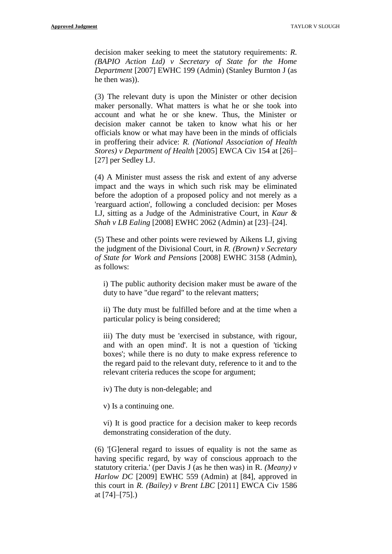decision maker seeking to meet the statutory requirements: *R. (BAPIO Action Ltd) v Secretary of State for the Home Department* [2007] EWHC 199 (Admin) (Stanley Burnton J (as he then was)).

(3) The relevant duty is upon the Minister or other decision maker personally. What matters is what he or she took into account and what he or she knew. Thus, the Minister or decision maker cannot be taken to know what his or her officials know or what may have been in the minds of officials in proffering their advice: *R. (National Association of Health Stores) v Department of Health* [2005] EWCA Civ 154 at [26]– [27] per Sedley LJ.

(4) A Minister must assess the risk and extent of any adverse impact and the ways in which such risk may be eliminated before the adoption of a proposed policy and not merely as a 'rearguard action', following a concluded decision: per Moses LJ, sitting as a Judge of the Administrative Court, in *Kaur & Shah v LB Ealing* [2008] EWHC 2062 (Admin) at [23]–[24].

(5) These and other points were reviewed by Aikens LJ, giving the judgment of the Divisional Court, in *R. (Brown) v Secretary of State for Work and Pensions* [2008] EWHC 3158 (Admin), as follows:

i) The public authority decision maker must be aware of the duty to have "due regard" to the relevant matters;

ii) The duty must be fulfilled before and at the time when a particular policy is being considered;

iii) The duty must be 'exercised in substance, with rigour, and with an open mind'. It is not a question of 'ticking boxes'; while there is no duty to make express reference to the regard paid to the relevant duty, reference to it and to the relevant criteria reduces the scope for argument;

iv) The duty is non-delegable; and

v) Is a continuing one.

vi) It is good practice for a decision maker to keep records demonstrating consideration of the duty.

(6) '[G]eneral regard to issues of equality is not the same as having specific regard, by way of conscious approach to the statutory criteria.' (per Davis J (as he then was) in R*. (Meany) v Harlow DC* [2009] EWHC 559 (Admin) at [84], approved in this court in *R. (Bailey) v Brent LBC* [2011] EWCA Civ 1586 at [74]–[75].)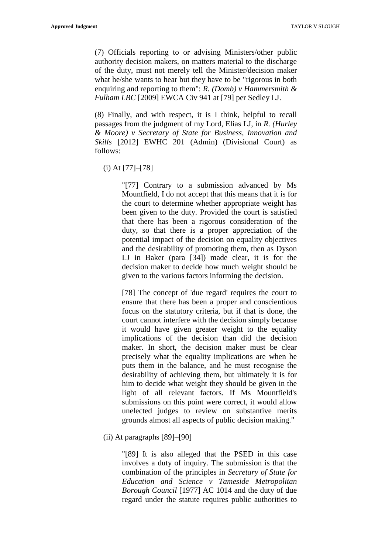(7) Officials reporting to or advising Ministers/other public authority decision makers, on matters material to the discharge of the duty, must not merely tell the Minister/decision maker what he/she wants to hear but they have to be "rigorous in both enquiring and reporting to them": *R. (Domb) v Hammersmith & Fulham LBC* [2009] EWCA Civ 941 at [79] per Sedley LJ.

(8) Finally, and with respect, it is I think, helpful to recall passages from the judgment of my Lord, Elias LJ, in *R. (Hurley & Moore) v Secretary of State for Business, Innovation and Skills* [2012] EWHC 201 (Admin) (Divisional Court) as follows:

(i) At [77]–[78]

"[77] Contrary to a submission advanced by Ms Mountfield, I do not accept that this means that it is for the court to determine whether appropriate weight has been given to the duty. Provided the court is satisfied that there has been a rigorous consideration of the duty, so that there is a proper appreciation of the potential impact of the decision on equality objectives and the desirability of promoting them, then as Dyson LJ in Baker (para [34]) made clear, it is for the decision maker to decide how much weight should be given to the various factors informing the decision.

[78] The concept of 'due regard' requires the court to ensure that there has been a proper and conscientious focus on the statutory criteria, but if that is done, the court cannot interfere with the decision simply because it would have given greater weight to the equality implications of the decision than did the decision maker. In short, the decision maker must be clear precisely what the equality implications are when he puts them in the balance, and he must recognise the desirability of achieving them, but ultimately it is for him to decide what weight they should be given in the light of all relevant factors. If Ms Mountfield's submissions on this point were correct, it would allow unelected judges to review on substantive merits grounds almost all aspects of public decision making."

(ii) At paragraphs [89]–[90]

"[89] It is also alleged that the PSED in this case involves a duty of inquiry. The submission is that the combination of the principles in *Secretary of State for Education and Science v Tameside Metropolitan Borough Council* [1977] AC 1014 and the duty of due regard under the statute requires public authorities to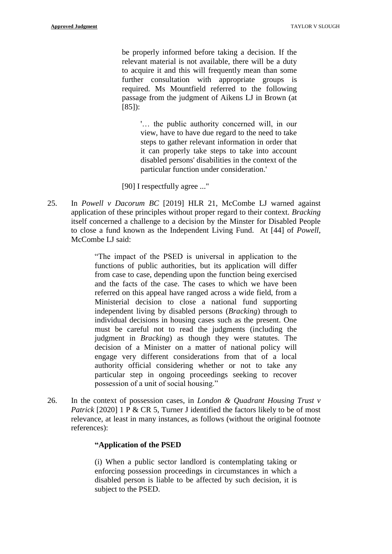be properly informed before taking a decision. If the relevant material is not available, there will be a duty to acquire it and this will frequently mean than some further consultation with appropriate groups is required. Ms Mountfield referred to the following passage from the judgment of Aikens LJ in Brown (at [85]):

> '… the public authority concerned will, in our view, have to have due regard to the need to take steps to gather relevant information in order that it can properly take steps to take into account disabled persons' disabilities in the context of the particular function under consideration.'

[90] I respectfully agree ..."

25. In *Powell v Dacorum BC* [2019] HLR 21, McCombe LJ warned against application of these principles without proper regard to their context. *Bracking* itself concerned a challenge to a decision by the Minster for Disabled People to close a fund known as the Independent Living Fund. At [44] of *Powell*, McCombe LJ said:

> "The impact of the PSED is universal in application to the functions of public authorities, but its application will differ from case to case, depending upon the function being exercised and the facts of the case. The cases to which we have been referred on this appeal have ranged across a wide field, from a Ministerial decision to close a national fund supporting independent living by disabled persons (*Bracking*) through to individual decisions in housing cases such as the present. One must be careful not to read the judgments (including the judgment in *Bracking*) as though they were statutes. The decision of a Minister on a matter of national policy will engage very different considerations from that of a local authority official considering whether or not to take any particular step in ongoing proceedings seeking to recover possession of a unit of social housing."

26. In the context of possession cases, in *London & Quadrant Housing Trust v Patrick* [2020] 1 P & CR 5, Turner J identified the factors likely to be of most relevance, at least in many instances, as follows (without the original footnote references):

# **"Application of the PSED**

(i) When a public sector landlord is contemplating taking or enforcing possession proceedings in circumstances in which a disabled person is liable to be affected by such decision, it is subject to the PSED.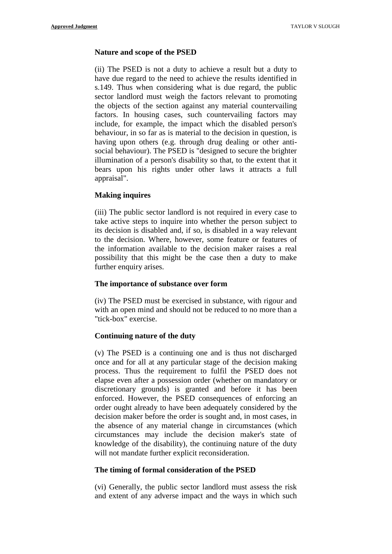# **Nature and scope of the PSED**

(ii) The PSED is not a duty to achieve a result but a duty to have due regard to the need to achieve the results identified in s.149. Thus when considering what is due regard, the public sector landlord must weigh the factors relevant to promoting the objects of the section against any material countervailing factors. In housing cases, such countervailing factors may include, for example, the impact which the disabled person's behaviour, in so far as is material to the decision in question, is having upon others (e.g. through drug dealing or other antisocial behaviour). The PSED is "designed to secure the brighter illumination of a person's disability so that, to the extent that it bears upon his rights under other laws it attracts a full appraisal".

# **Making inquires**

(iii) The public sector landlord is not required in every case to take active steps to inquire into whether the person subject to its decision is disabled and, if so, is disabled in a way relevant to the decision. Where, however, some feature or features of the information available to the decision maker raises a real possibility that this might be the case then a duty to make further enquiry arises.

# **The importance of substance over form**

(iv) The PSED must be exercised in substance, with rigour and with an open mind and should not be reduced to no more than a "tick-box" exercise.

# **Continuing nature of the duty**

(v) The PSED is a continuing one and is thus not discharged once and for all at any particular stage of the decision making process. Thus the requirement to fulfil the PSED does not elapse even after a possession order (whether on mandatory or discretionary grounds) is granted and before it has been enforced. However, the PSED consequences of enforcing an order ought already to have been adequately considered by the decision maker before the order is sought and, in most cases, in the absence of any material change in circumstances (which circumstances may include the decision maker's state of knowledge of the disability), the continuing nature of the duty will not mandate further explicit reconsideration.

# **The timing of formal consideration of the PSED**

(vi) Generally, the public sector landlord must assess the risk and extent of any adverse impact and the ways in which such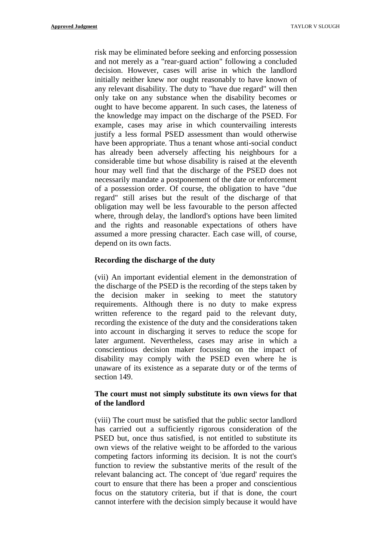risk may be eliminated before seeking and enforcing possession and not merely as a "rear-guard action" following a concluded decision. However, cases will arise in which the landlord initially neither knew nor ought reasonably to have known of any relevant disability. The duty to "have due regard" will then only take on any substance when the disability becomes or ought to have become apparent. In such cases, the lateness of the knowledge may impact on the discharge of the PSED. For example, cases may arise in which countervailing interests justify a less formal PSED assessment than would otherwise have been appropriate. Thus a tenant whose anti-social conduct has already been adversely affecting his neighbours for a considerable time but whose disability is raised at the eleventh hour may well find that the discharge of the PSED does not necessarily mandate a postponement of the date or enforcement of a possession order. Of course, the obligation to have "due regard" still arises but the result of the discharge of that obligation may well be less favourable to the person affected where, through delay, the landlord's options have been limited and the rights and reasonable expectations of others have assumed a more pressing character. Each case will, of course, depend on its own facts.

#### **Recording the discharge of the duty**

(vii) An important evidential element in the demonstration of the discharge of the PSED is the recording of the steps taken by the decision maker in seeking to meet the statutory requirements. Although there is no duty to make express written reference to the regard paid to the relevant duty, recording the existence of the duty and the considerations taken into account in discharging it serves to reduce the scope for later argument. Nevertheless, cases may arise in which a conscientious decision maker focussing on the impact of disability may comply with the PSED even where he is unaware of its existence as a separate duty or of the terms of section 149.

# **The court must not simply substitute its own views for that of the landlord**

(viii) The court must be satisfied that the public sector landlord has carried out a sufficiently rigorous consideration of the PSED but, once thus satisfied, is not entitled to substitute its own views of the relative weight to be afforded to the various competing factors informing its decision. It is not the court's function to review the substantive merits of the result of the relevant balancing act. The concept of 'due regard' requires the court to ensure that there has been a proper and conscientious focus on the statutory criteria, but if that is done, the court cannot interfere with the decision simply because it would have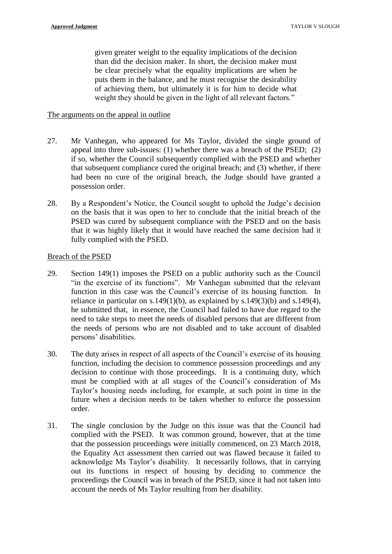given greater weight to the equality implications of the decision than did the decision maker. In short, the decision maker must be clear precisely what the equality implications are when he puts them in the balance, and he must recognise the desirability of achieving them, but ultimately it is for him to decide what weight they should be given in the light of all relevant factors."

#### The arguments on the appeal in outline

- 27. Mr Vanhegan, who appeared for Ms Taylor, divided the single ground of appeal into three sub-issues: (1) whether there was a breach of the PSED; (2) if so, whether the Council subsequently complied with the PSED and whether that subsequent compliance cured the original breach; and (3) whether, if there had been no cure of the original breach, the Judge should have granted a possession order.
- 28. By a Respondent's Notice, the Council sought to uphold the Judge's decision on the basis that it was open to her to conclude that the initial breach of the PSED was cured by subsequent compliance with the PSED and on the basis that it was highly likely that it would have reached the same decision had it fully complied with the PSED.

#### Breach of the PSED

- 29. Section 149(1) imposes the PSED on a public authority such as the Council "in the exercise of its functions". Mr Vanhegan submitted that the relevant function in this case was the Council's exercise of its housing function. In reliance in particular on s.149(1)(b), as explained by s.149(3)(b) and s.149(4), he submitted that, in essence, the Council had failed to have due regard to the need to take steps to meet the needs of disabled persons that are different from the needs of persons who are not disabled and to take account of disabled persons' disabilities.
- 30. The duty arises in respect of all aspects of the Council's exercise of its housing function, including the decision to commence possession proceedings and any decision to continue with those proceedings. It is a continuing duty, which must be complied with at all stages of the Council's consideration of Ms Taylor's housing needs including, for example, at such point in time in the future when a decision needs to be taken whether to enforce the possession order.
- 31. The single conclusion by the Judge on this issue was that the Council had complied with the PSED. It was common ground, however, that at the time that the possession proceedings were initially commenced, on 23 March 2018, the Equality Act assessment then carried out was flawed because it failed to acknowledge Ms Taylor's disability. It necessarily follows, that in carrying out its functions in respect of housing by deciding to commence the proceedings the Council was in breach of the PSED, since it had not taken into account the needs of Ms Taylor resulting from her disability.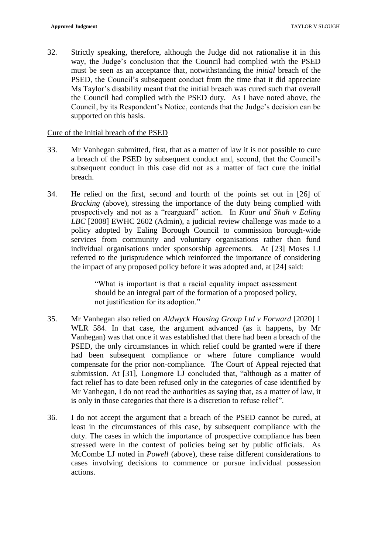32. Strictly speaking, therefore, although the Judge did not rationalise it in this way, the Judge's conclusion that the Council had complied with the PSED must be seen as an acceptance that, notwithstanding the *initial* breach of the PSED, the Council's subsequent conduct from the time that it did appreciate Ms Taylor's disability meant that the initial breach was cured such that overall the Council had complied with the PSED duty. As I have noted above, the Council, by its Respondent's Notice, contends that the Judge's decision can be supported on this basis.

#### Cure of the initial breach of the PSED

- 33. Mr Vanhegan submitted, first, that as a matter of law it is not possible to cure a breach of the PSED by subsequent conduct and, second, that the Council's subsequent conduct in this case did not as a matter of fact cure the initial breach.
- 34. He relied on the first, second and fourth of the points set out in [26] of *Bracking* (above), stressing the importance of the duty being complied with prospectively and not as a "rearguard" action. In *Kaur and Shah v Ealing LBC* [2008] EWHC 2602 (Admin), a judicial review challenge was made to a policy adopted by Ealing Borough Council to commission borough-wide services from community and voluntary organisations rather than fund individual organisations under sponsorship agreements. At [23] Moses LJ referred to the jurisprudence which reinforced the importance of considering the impact of any proposed policy before it was adopted and, at [24] said:

"What is important is that a racial equality impact assessment should be an integral part of the formation of a proposed policy, not justification for its adoption."

- 35. Mr Vanhegan also relied on *Aldwyck Housing Group Ltd v Forward* [2020] 1 WLR 584. In that case, the argument advanced (as it happens, by Mr Vanhegan) was that once it was established that there had been a breach of the PSED, the only circumstances in which relief could be granted were if there had been subsequent compliance or where future compliance would compensate for the prior non-compliance. The Court of Appeal rejected that submission. At [31], Longmore LJ concluded that, "although as a matter of fact relief has to date been refused only in the categories of case identified by Mr Vanhegan, I do not read the authorities as saying that, as a matter of law, it is only in those categories that there is a discretion to refuse relief".
- 36. I do not accept the argument that a breach of the PSED cannot be cured, at least in the circumstances of this case, by subsequent compliance with the duty. The cases in which the importance of prospective compliance has been stressed were in the context of policies being set by public officials. As McCombe LJ noted in *Powell* (above), these raise different considerations to cases involving decisions to commence or pursue individual possession actions.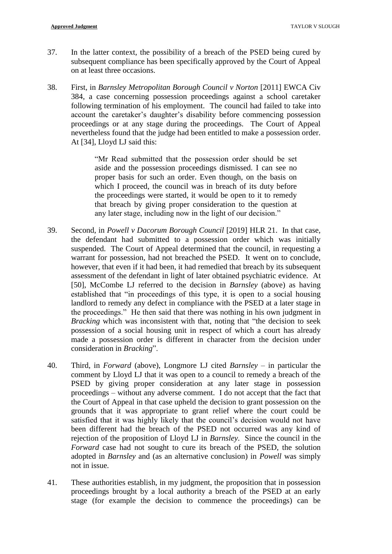- 37. In the latter context, the possibility of a breach of the PSED being cured by subsequent compliance has been specifically approved by the Court of Appeal on at least three occasions.
- 38. First, in *Barnsley Metropolitan Borough Council v Norton* [2011] EWCA Civ 384, a case concerning possession proceedings against a school caretaker following termination of his employment. The council had failed to take into account the caretaker's daughter's disability before commencing possession proceedings or at any stage during the proceedings. The Court of Appeal nevertheless found that the judge had been entitled to make a possession order. At [34], Lloyd LJ said this:

"Mr Read submitted that the possession order should be set aside and the possession proceedings dismissed. I can see no proper basis for such an order. Even though, on the basis on which I proceed, the council was in breach of its duty before the proceedings were started, it would be open to it to remedy that breach by giving proper consideration to the question at any later stage, including now in the light of our decision."

- 39. Second, in *Powell v Dacorum Borough Council* [2019] HLR 21. In that case, the defendant had submitted to a possession order which was initially suspended. The Court of Appeal determined that the council, in requesting a warrant for possession, had not breached the PSED. It went on to conclude, however, that even if it had been, it had remedied that breach by its subsequent assessment of the defendant in light of later obtained psychiatric evidence. At [50], McCombe LJ referred to the decision in *Barnsley* (above) as having established that "in proceedings of this type, it is open to a social housing landlord to remedy any defect in compliance with the PSED at a later stage in the proceedings." He then said that there was nothing in his own judgment in *Bracking* which was inconsistent with that, noting that "the decision to seek possession of a social housing unit in respect of which a court has already made a possession order is different in character from the decision under consideration in *Bracking*".
- 40. Third, in *Forward* (above), Longmore LJ cited *Barnsley* in particular the comment by Lloyd LJ that it was open to a council to remedy a breach of the PSED by giving proper consideration at any later stage in possession proceedings – without any adverse comment. I do not accept that the fact that the Court of Appeal in that case upheld the decision to grant possession on the grounds that it was appropriate to grant relief where the court could be satisfied that it was highly likely that the council's decision would not have been different had the breach of the PSED not occurred was any kind of rejection of the proposition of Lloyd LJ in *Barnsley*. Since the council in the *Forward* case had not sought to cure its breach of the PSED, the solution adopted in *Barnsley* and (as an alternative conclusion) in *Powell* was simply not in issue.
- 41. These authorities establish, in my judgment, the proposition that in possession proceedings brought by a local authority a breach of the PSED at an early stage (for example the decision to commence the proceedings) can be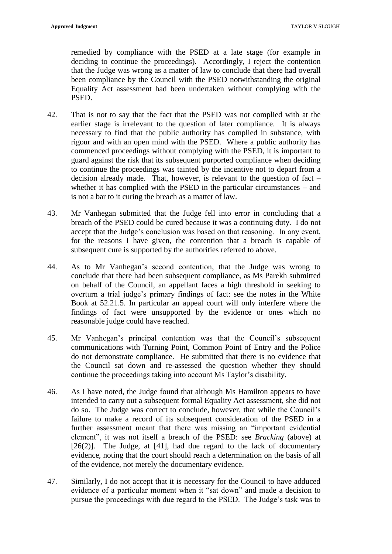remedied by compliance with the PSED at a late stage (for example in deciding to continue the proceedings). Accordingly, I reject the contention that the Judge was wrong as a matter of law to conclude that there had overall been compliance by the Council with the PSED notwithstanding the original Equality Act assessment had been undertaken without complying with the PSED.

- 42. That is not to say that the fact that the PSED was not complied with at the earlier stage is irrelevant to the question of later compliance. It is always necessary to find that the public authority has complied in substance, with rigour and with an open mind with the PSED. Where a public authority has commenced proceedings without complying with the PSED, it is important to guard against the risk that its subsequent purported compliance when deciding to continue the proceedings was tainted by the incentive not to depart from a decision already made. That, however, is relevant to the question of fact – whether it has complied with the PSED in the particular circumstances – and is not a bar to it curing the breach as a matter of law.
- 43. Mr Vanhegan submitted that the Judge fell into error in concluding that a breach of the PSED could be cured because it was a continuing duty. I do not accept that the Judge's conclusion was based on that reasoning. In any event, for the reasons I have given, the contention that a breach is capable of subsequent cure is supported by the authorities referred to above.
- 44. As to Mr Vanhegan's second contention, that the Judge was wrong to conclude that there had been subsequent compliance, as Ms Parekh submitted on behalf of the Council, an appellant faces a high threshold in seeking to overturn a trial judge's primary findings of fact: see the notes in the White Book at 52.21.5. In particular an appeal court will only interfere where the findings of fact were unsupported by the evidence or ones which no reasonable judge could have reached.
- 45. Mr Vanhegan's principal contention was that the Council's subsequent communications with Turning Point, Common Point of Entry and the Police do not demonstrate compliance. He submitted that there is no evidence that the Council sat down and re-assessed the question whether they should continue the proceedings taking into account Ms Taylor's disability.
- 46. As I have noted, the Judge found that although Ms Hamilton appears to have intended to carry out a subsequent formal Equality Act assessment, she did not do so. The Judge was correct to conclude, however, that while the Council's failure to make a record of its subsequent consideration of the PSED in a further assessment meant that there was missing an "important evidential element", it was not itself a breach of the PSED: see *Bracking* (above) at  $[26(2)]$ . The Judge, at  $[41]$ , had due regard to the lack of documentary evidence, noting that the court should reach a determination on the basis of all of the evidence, not merely the documentary evidence.
- 47. Similarly, I do not accept that it is necessary for the Council to have adduced evidence of a particular moment when it "sat down" and made a decision to pursue the proceedings with due regard to the PSED. The Judge's task was to